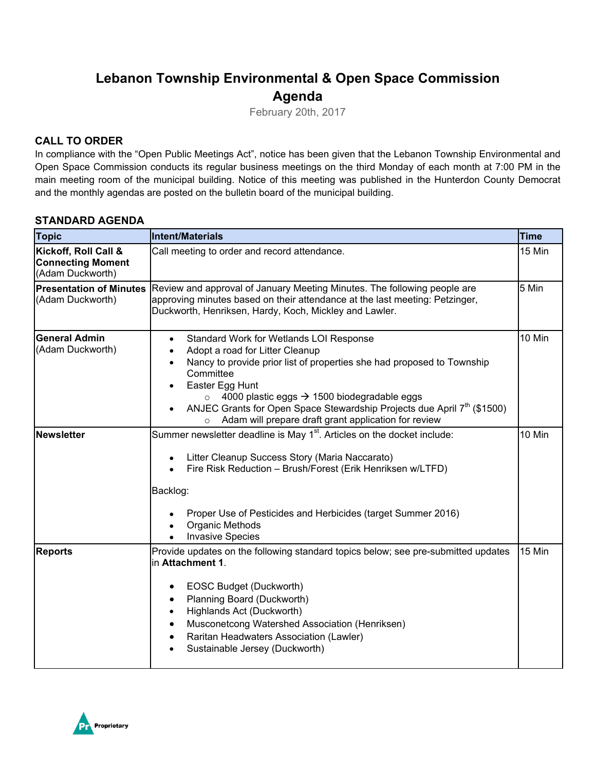## **Lebanon Township Environmental & Open Space Commission Agenda**

February 20th, 2017

## **CALL TO ORDER**

In compliance with the "Open Public Meetings Act", notice has been given that the Lebanon Township Environmental and Open Space Commission conducts its regular business meetings on the third Monday of each month at 7:00 PM in the main meeting room of the municipal building. Notice of this meeting was published in the Hunterdon County Democrat and the monthly agendas are posted on the bulletin board of the municipal building.

### **STANDARD AGENDA**

| <b>Topic</b>                                                         | <b>Intent/Materials</b>                                                                                                                                                                                                                                                                                                                                                                                                           | <b>Time</b> |
|----------------------------------------------------------------------|-----------------------------------------------------------------------------------------------------------------------------------------------------------------------------------------------------------------------------------------------------------------------------------------------------------------------------------------------------------------------------------------------------------------------------------|-------------|
| Kickoff, Roll Call &<br><b>Connecting Moment</b><br>(Adam Duckworth) | Call meeting to order and record attendance.                                                                                                                                                                                                                                                                                                                                                                                      | 15 Min      |
| <b>Presentation of Minutes</b><br>(Adam Duckworth)                   | Review and approval of January Meeting Minutes. The following people are<br>approving minutes based on their attendance at the last meeting: Petzinger,<br>Duckworth, Henriksen, Hardy, Koch, Mickley and Lawler.                                                                                                                                                                                                                 | 5 Min       |
| <b>General Admin</b><br>(Adam Duckworth)                             | Standard Work for Wetlands LOI Response<br>$\bullet$<br>Adopt a road for Litter Cleanup<br>Nancy to provide prior list of properties she had proposed to Township<br>Committee<br>Easter Egg Hunt<br>4000 plastic eggs $\rightarrow$ 1500 biodegradable eggs<br>$\circ$<br>ANJEC Grants for Open Space Stewardship Projects due April 7 <sup>th</sup> (\$1500)<br>Adam will prepare draft grant application for review<br>$\circ$ | 10 Min      |
| <b>Newsletter</b>                                                    | Summer newsletter deadline is May 1 <sup>st</sup> . Articles on the docket include:<br>Litter Cleanup Success Story (Maria Naccarato)<br>Fire Risk Reduction - Brush/Forest (Erik Henriksen w/LTFD)<br>Backlog:<br>Proper Use of Pesticides and Herbicides (target Summer 2016)<br>Organic Methods<br><b>Invasive Species</b>                                                                                                     | 10 Min      |
| <b>Reports</b>                                                       | Provide updates on the following standard topics below; see pre-submitted updates<br>in Attachment 1.<br>EOSC Budget (Duckworth)<br>٠<br>Planning Board (Duckworth)<br>Highlands Act (Duckworth)<br>$\bullet$<br>Musconetcong Watershed Association (Henriksen)<br>Raritan Headwaters Association (Lawler)<br>Sustainable Jersey (Duckworth)                                                                                      | 15 Min      |

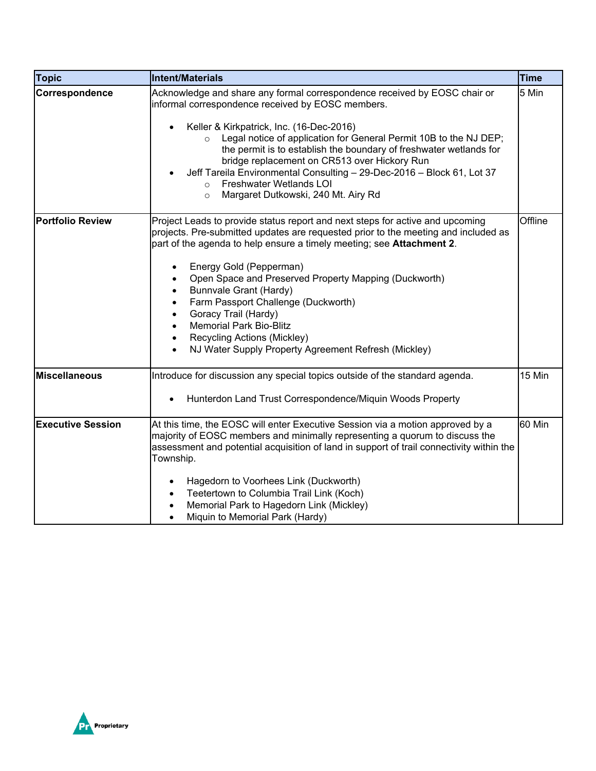| <b>Topic</b>             | <b>Intent/Materials</b>                                                                                                                                                                                                                                                                                                                                                                                                                                                                                                                                                                                                                       | <b>Time</b> |
|--------------------------|-----------------------------------------------------------------------------------------------------------------------------------------------------------------------------------------------------------------------------------------------------------------------------------------------------------------------------------------------------------------------------------------------------------------------------------------------------------------------------------------------------------------------------------------------------------------------------------------------------------------------------------------------|-------------|
| Correspondence           | Acknowledge and share any formal correspondence received by EOSC chair or<br>informal correspondence received by EOSC members.<br>Keller & Kirkpatrick, Inc. (16-Dec-2016)<br>Legal notice of application for General Permit 10B to the NJ DEP;<br>$\circ$<br>the permit is to establish the boundary of freshwater wetlands for<br>bridge replacement on CR513 over Hickory Run<br>Jeff Tareila Environmental Consulting - 29-Dec-2016 - Block 61, Lot 37<br>Freshwater Wetlands LOI<br>$\circ$<br>Margaret Dutkowski, 240 Mt. Airy Rd<br>$\circ$                                                                                            | 5 Min       |
| <b>Portfolio Review</b>  | Project Leads to provide status report and next steps for active and upcoming<br>projects. Pre-submitted updates are requested prior to the meeting and included as<br>part of the agenda to help ensure a timely meeting; see Attachment 2.<br>Energy Gold (Pepperman)<br>$\bullet$<br>Open Space and Preserved Property Mapping (Duckworth)<br>$\bullet$<br>Bunnvale Grant (Hardy)<br>$\bullet$<br>Farm Passport Challenge (Duckworth)<br>$\bullet$<br>Goracy Trail (Hardy)<br>$\bullet$<br><b>Memorial Park Bio-Blitz</b><br>$\bullet$<br>Recycling Actions (Mickley)<br>$\bullet$<br>NJ Water Supply Property Agreement Refresh (Mickley) | Offline     |
| <b>Miscellaneous</b>     | Introduce for discussion any special topics outside of the standard agenda.<br>Hunterdon Land Trust Correspondence/Miquin Woods Property                                                                                                                                                                                                                                                                                                                                                                                                                                                                                                      | 15 Min      |
| <b>Executive Session</b> | At this time, the EOSC will enter Executive Session via a motion approved by a<br>majority of EOSC members and minimally representing a quorum to discuss the<br>assessment and potential acquisition of land in support of trail connectivity within the<br>Township.<br>Hagedorn to Voorhees Link (Duckworth)<br>Teetertown to Columbia Trail Link (Koch)<br>Memorial Park to Hagedorn Link (Mickley)<br>Miquin to Memorial Park (Hardy)<br>$\bullet$                                                                                                                                                                                       | 60 Min      |

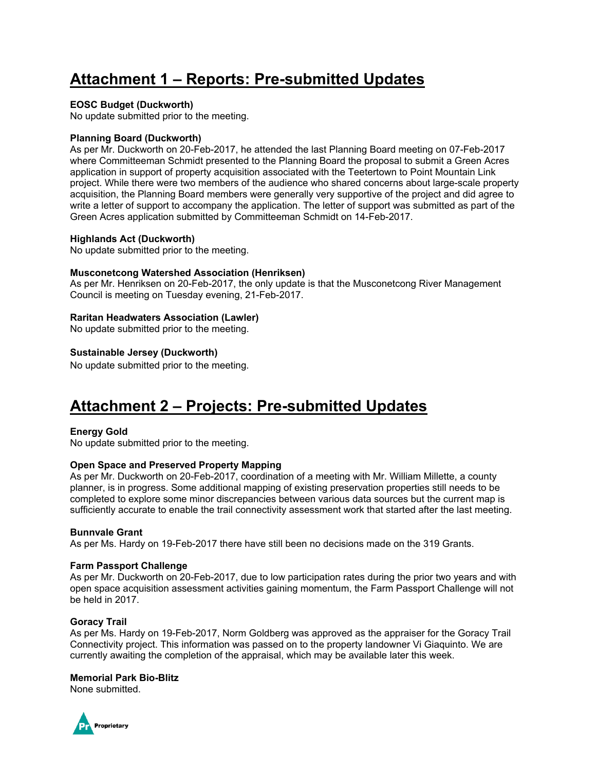# **Attachment 1 – Reports: Pre-submitted Updates**

#### **EOSC Budget (Duckworth)**

No update submitted prior to the meeting.

#### **Planning Board (Duckworth)**

As per Mr. Duckworth on 20-Feb-2017, he attended the last Planning Board meeting on 07-Feb-2017 where Committeeman Schmidt presented to the Planning Board the proposal to submit a Green Acres application in support of property acquisition associated with the Teetertown to Point Mountain Link project. While there were two members of the audience who shared concerns about large-scale property acquisition, the Planning Board members were generally very supportive of the project and did agree to write a letter of support to accompany the application. The letter of support was submitted as part of the Green Acres application submitted by Committeeman Schmidt on 14-Feb-2017.

#### **Highlands Act (Duckworth)**

No update submitted prior to the meeting.

#### **Musconetcong Watershed Association (Henriksen)**

As per Mr. Henriksen on 20-Feb-2017, the only update is that the Musconetcong River Management Council is meeting on Tuesday evening, 21-Feb-2017.

#### **Raritan Headwaters Association (Lawler)**

No update submitted prior to the meeting.

#### **Sustainable Jersey (Duckworth)**

No update submitted prior to the meeting.

## **Attachment 2 – Projects: Pre-submitted Updates**

#### **Energy Gold**

No update submitted prior to the meeting.

#### **Open Space and Preserved Property Mapping**

As per Mr. Duckworth on 20-Feb-2017, coordination of a meeting with Mr. William Millette, a county planner, is in progress. Some additional mapping of existing preservation properties still needs to be completed to explore some minor discrepancies between various data sources but the current map is sufficiently accurate to enable the trail connectivity assessment work that started after the last meeting.

#### **Bunnvale Grant**

As per Ms. Hardy on 19-Feb-2017 there have still been no decisions made on the 319 Grants.

#### **Farm Passport Challenge**

As per Mr. Duckworth on 20-Feb-2017, due to low participation rates during the prior two years and with open space acquisition assessment activities gaining momentum, the Farm Passport Challenge will not be held in 2017.

#### **Goracy Trail**

As per Ms. Hardy on 19-Feb-2017, Norm Goldberg was approved as the appraiser for the Goracy Trail Connectivity project. This information was passed on to the property landowner Vi Giaquinto. We are currently awaiting the completion of the appraisal, which may be available later this week.

#### **Memorial Park Bio-Blitz**

None submitted.

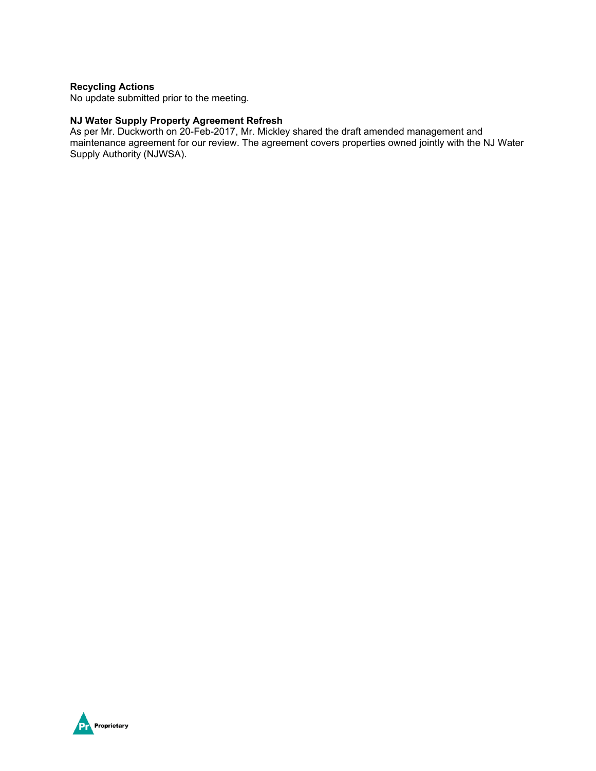#### **Recycling Actions**

No update submitted prior to the meeting.

### **NJ Water Supply Property Agreement Refresh**

As per Mr. Duckworth on 20-Feb-2017, Mr. Mickley shared the draft amended management and maintenance agreement for our review. The agreement covers properties owned jointly with the NJ Water Supply Authority (NJWSA).

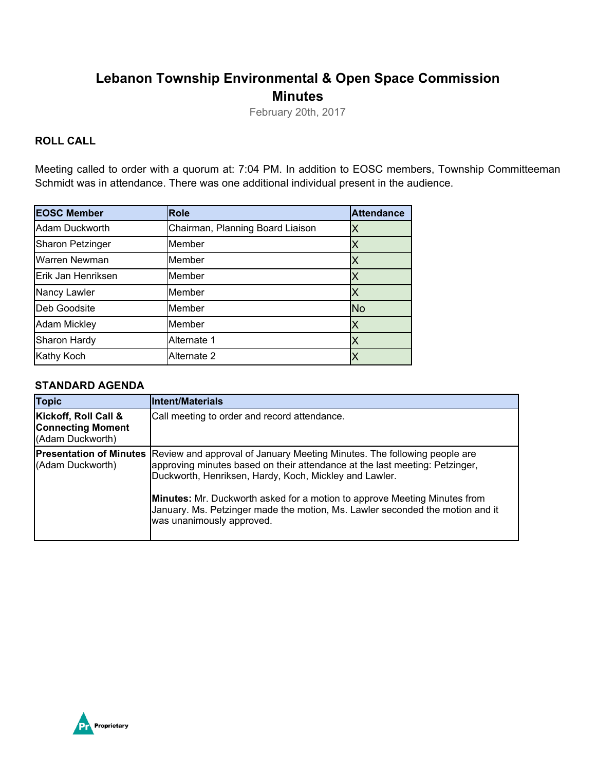## **Lebanon Township Environmental & Open Space Commission Minutes**

February 20th, 2017

## **ROLL CALL**

Meeting called to order with a quorum at: 7:04 PM. In addition to EOSC members, Township Committeeman Schmidt was in attendance. There was one additional individual present in the audience.

| <b>EOSC Member</b>      | <b>Role</b>                      | <b>Attendance</b>       |
|-------------------------|----------------------------------|-------------------------|
| Adam Duckworth          | Chairman, Planning Board Liaison | X                       |
| <b>Sharon Petzinger</b> | Member                           | Χ                       |
| Warren Newman           | Member                           | Χ                       |
| Erik Jan Henriksen      | Member                           | Χ                       |
| Nancy Lawler            | Member                           | Χ                       |
| Deb Goodsite            | Member                           | <b>No</b>               |
| <b>Adam Mickley</b>     | Member                           | X                       |
| Sharon Hardy            | Alternate 1                      | $\overline{\mathsf{X}}$ |
| Kathy Koch              | Alternate 2                      |                         |

### **STANDARD AGENDA**

| <b>Topic</b>                                                         | <b>Intent/Materials</b>                                                                                                                                                                                                                                                                                                                                                                                                                            |
|----------------------------------------------------------------------|----------------------------------------------------------------------------------------------------------------------------------------------------------------------------------------------------------------------------------------------------------------------------------------------------------------------------------------------------------------------------------------------------------------------------------------------------|
| Kickoff, Roll Call &<br><b>Connecting Moment</b><br>(Adam Duckworth) | Call meeting to order and record attendance.                                                                                                                                                                                                                                                                                                                                                                                                       |
| (Adam Duckworth)                                                     | <b>Presentation of Minutes</b> Review and approval of January Meeting Minutes. The following people are<br>approving minutes based on their attendance at the last meeting: Petzinger,<br>Duckworth, Henriksen, Hardy, Koch, Mickley and Lawler.<br><b>Minutes:</b> Mr. Duckworth asked for a motion to approve Meeting Minutes from<br>January. Ms. Petzinger made the motion, Ms. Lawler seconded the motion and it<br>was unanimously approved. |

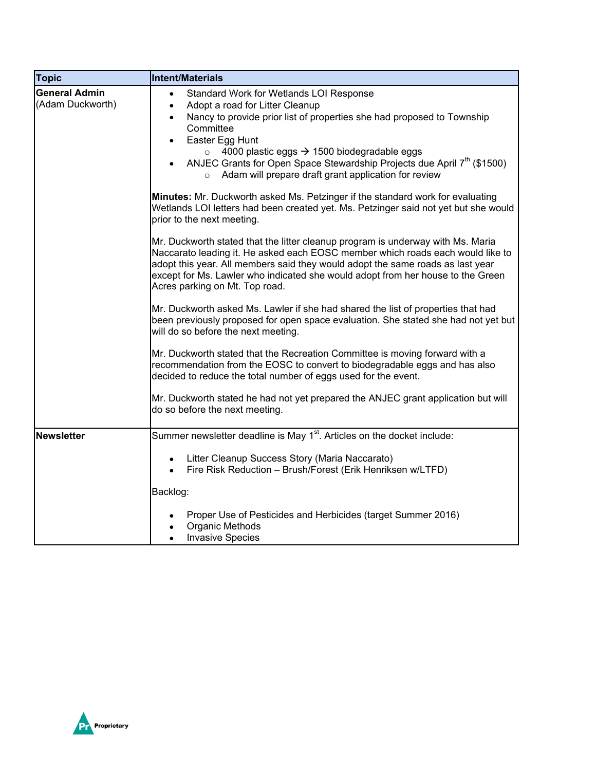| <b>Topic</b>                             | Intent/Materials                                                                                                                                                                                                                                                                                                                                                                                                                                                          |
|------------------------------------------|---------------------------------------------------------------------------------------------------------------------------------------------------------------------------------------------------------------------------------------------------------------------------------------------------------------------------------------------------------------------------------------------------------------------------------------------------------------------------|
| <b>General Admin</b><br>(Adam Duckworth) | Standard Work for Wetlands LOI Response<br>$\bullet$<br>Adopt a road for Litter Cleanup<br>$\bullet$<br>Nancy to provide prior list of properties she had proposed to Township<br>$\bullet$<br>Committee<br>Easter Egg Hunt<br>$\bullet$<br>4000 plastic eggs → 1500 biodegradable eggs<br>$\circ$<br>ANJEC Grants for Open Space Stewardship Projects due April 7 <sup>th</sup> (\$1500)<br>$\bullet$<br>Adam will prepare draft grant application for review<br>$\circ$ |
|                                          | <b>Minutes:</b> Mr. Duckworth asked Ms. Petzinger if the standard work for evaluating<br>Wetlands LOI letters had been created yet. Ms. Petzinger said not yet but she would<br>prior to the next meeting.                                                                                                                                                                                                                                                                |
|                                          | Mr. Duckworth stated that the litter cleanup program is underway with Ms. Maria<br>Naccarato leading it. He asked each EOSC member which roads each would like to<br>adopt this year. All members said they would adopt the same roads as last year<br>except for Ms. Lawler who indicated she would adopt from her house to the Green<br>Acres parking on Mt. Top road.                                                                                                  |
|                                          | Mr. Duckworth asked Ms. Lawler if she had shared the list of properties that had<br>been previously proposed for open space evaluation. She stated she had not yet but<br>will do so before the next meeting.                                                                                                                                                                                                                                                             |
|                                          | Mr. Duckworth stated that the Recreation Committee is moving forward with a<br>recommendation from the EOSC to convert to biodegradable eggs and has also<br>decided to reduce the total number of eggs used for the event.                                                                                                                                                                                                                                               |
|                                          | Mr. Duckworth stated he had not yet prepared the ANJEC grant application but will<br>do so before the next meeting.                                                                                                                                                                                                                                                                                                                                                       |
| Newsletter                               | Summer newsletter deadline is May 1 <sup>st</sup> . Articles on the docket include:                                                                                                                                                                                                                                                                                                                                                                                       |
|                                          | Litter Cleanup Success Story (Maria Naccarato)<br>$\bullet$<br>Fire Risk Reduction - Brush/Forest (Erik Henriksen w/LTFD)                                                                                                                                                                                                                                                                                                                                                 |
|                                          | Backlog:                                                                                                                                                                                                                                                                                                                                                                                                                                                                  |
|                                          | Proper Use of Pesticides and Herbicides (target Summer 2016)<br>Organic Methods<br>$\bullet$<br><b>Invasive Species</b><br>$\bullet$                                                                                                                                                                                                                                                                                                                                      |

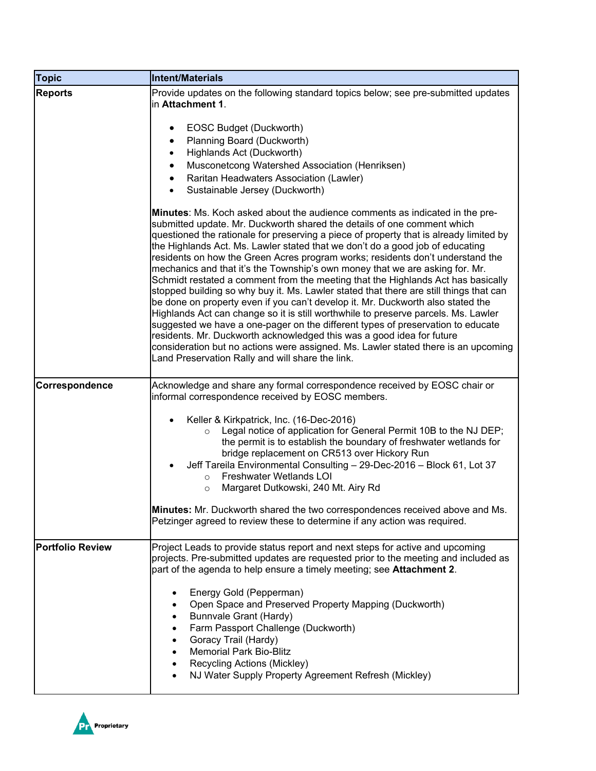| <b>Topic</b>            | <b>Intent/Materials</b>                                                                                                                                                                                                                                                                                                                                                                                                                                                                                                                                                                                                                                                                                                                                                                                                                                                                                                                                                                                                                                                                                                                                           |
|-------------------------|-------------------------------------------------------------------------------------------------------------------------------------------------------------------------------------------------------------------------------------------------------------------------------------------------------------------------------------------------------------------------------------------------------------------------------------------------------------------------------------------------------------------------------------------------------------------------------------------------------------------------------------------------------------------------------------------------------------------------------------------------------------------------------------------------------------------------------------------------------------------------------------------------------------------------------------------------------------------------------------------------------------------------------------------------------------------------------------------------------------------------------------------------------------------|
| <b>Reports</b>          | Provide updates on the following standard topics below; see pre-submitted updates<br>in Attachment 1.                                                                                                                                                                                                                                                                                                                                                                                                                                                                                                                                                                                                                                                                                                                                                                                                                                                                                                                                                                                                                                                             |
|                         | EOSC Budget (Duckworth)<br>$\bullet$<br>Planning Board (Duckworth)<br>Highlands Act (Duckworth)<br>$\bullet$<br>Musconetcong Watershed Association (Henriksen)<br>٠<br>Raritan Headwaters Association (Lawler)<br>Sustainable Jersey (Duckworth)<br>$\bullet$                                                                                                                                                                                                                                                                                                                                                                                                                                                                                                                                                                                                                                                                                                                                                                                                                                                                                                     |
|                         | Minutes: Ms. Koch asked about the audience comments as indicated in the pre-<br>submitted update. Mr. Duckworth shared the details of one comment which<br>questioned the rationale for preserving a piece of property that is already limited by<br>the Highlands Act. Ms. Lawler stated that we don't do a good job of educating<br>residents on how the Green Acres program works; residents don't understand the<br>mechanics and that it's the Township's own money that we are asking for. Mr.<br>Schmidt restated a comment from the meeting that the Highlands Act has basically<br>stopped building so why buy it. Ms. Lawler stated that there are still things that can<br>be done on property even if you can't develop it. Mr. Duckworth also stated the<br>Highlands Act can change so it is still worthwhile to preserve parcels. Ms. Lawler<br>suggested we have a one-pager on the different types of preservation to educate<br>residents. Mr. Duckworth acknowledged this was a good idea for future<br>consideration but no actions were assigned. Ms. Lawler stated there is an upcoming<br>Land Preservation Rally and will share the link. |
| Correspondence          | Acknowledge and share any formal correspondence received by EOSC chair or<br>informal correspondence received by EOSC members.                                                                                                                                                                                                                                                                                                                                                                                                                                                                                                                                                                                                                                                                                                                                                                                                                                                                                                                                                                                                                                    |
|                         | Keller & Kirkpatrick, Inc. (16-Dec-2016)<br>$\bullet$<br>Legal notice of application for General Permit 10B to the NJ DEP;<br>$\circ$<br>the permit is to establish the boundary of freshwater wetlands for<br>bridge replacement on CR513 over Hickory Run<br>Jeff Tareila Environmental Consulting - 29-Dec-2016 - Block 61, Lot 37<br>Freshwater Wetlands LOI<br>$\Omega$<br>Margaret Dutkowski, 240 Mt. Airy Rd<br>$\circ$                                                                                                                                                                                                                                                                                                                                                                                                                                                                                                                                                                                                                                                                                                                                    |
|                         | Minutes: Mr. Duckworth shared the two correspondences received above and Ms.<br>Petzinger agreed to review these to determine if any action was required.                                                                                                                                                                                                                                                                                                                                                                                                                                                                                                                                                                                                                                                                                                                                                                                                                                                                                                                                                                                                         |
| <b>Portfolio Review</b> | Project Leads to provide status report and next steps for active and upcoming<br>projects. Pre-submitted updates are requested prior to the meeting and included as<br>part of the agenda to help ensure a timely meeting; see <b>Attachment 2</b> .<br>Energy Gold (Pepperman)<br>Open Space and Preserved Property Mapping (Duckworth)<br>Bunnvale Grant (Hardy)<br>Farm Passport Challenge (Duckworth)<br>Goracy Trail (Hardy)<br><b>Memorial Park Bio-Blitz</b><br>Recycling Actions (Mickley)<br>NJ Water Supply Property Agreement Refresh (Mickley)                                                                                                                                                                                                                                                                                                                                                                                                                                                                                                                                                                                                        |